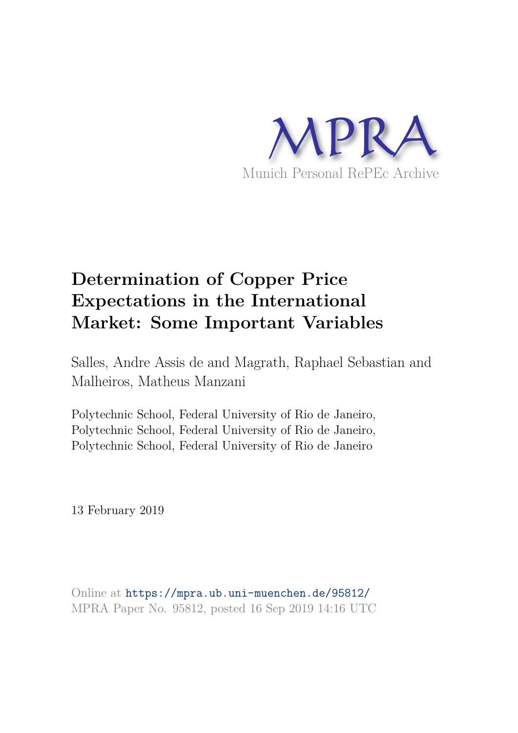

# **Determination of Copper Price Expectations in the International Market: Some Important Variables**

Salles, Andre Assis de and Magrath, Raphael Sebastian and Malheiros, Matheus Manzani

Polytechnic School, Federal University of Rio de Janeiro, Polytechnic School, Federal University of Rio de Janeiro, Polytechnic School, Federal University of Rio de Janeiro

13 February 2019

Online at https://mpra.ub.uni-muenchen.de/95812/ MPRA Paper No. 95812, posted 16 Sep 2019 14:16 UTC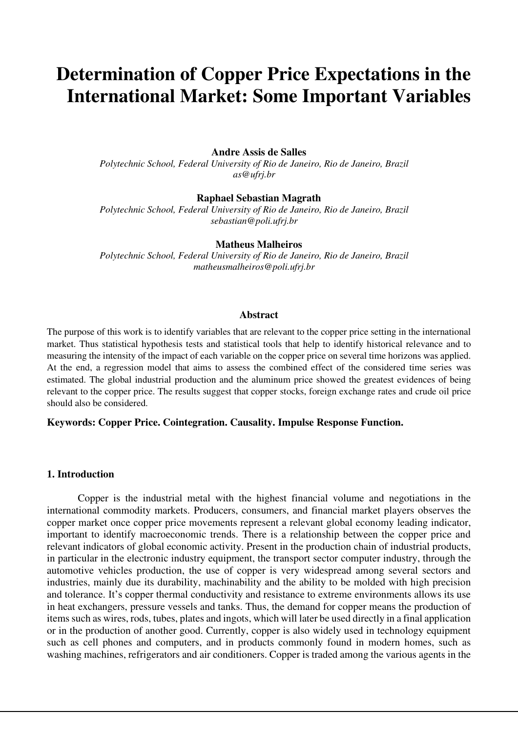# **Determination of Copper Price Expectations in the International Market: Some Important Variables**

## **Andre Assis de Salles**

*Polytechnic School, Federal University of Rio de Janeiro, Rio de Janeiro, Brazil as@ufrj.br* 

## **Raphael Sebastian Magrath**

*Polytechnic School, Federal University of Rio de Janeiro, Rio de Janeiro, Brazil sebastian@poli.ufrj.br* 

#### **Matheus Malheiros**

*Polytechnic School, Federal University of Rio de Janeiro, Rio de Janeiro, Brazil matheusmalheiros@poli.ufrj.br* 

#### **Abstract**

The purpose of this work is to identify variables that are relevant to the copper price setting in the international market. Thus statistical hypothesis tests and statistical tools that help to identify historical relevance and to measuring the intensity of the impact of each variable on the copper price on several time horizons was applied. At the end, a regression model that aims to assess the combined effect of the considered time series was estimated. The global industrial production and the aluminum price showed the greatest evidences of being relevant to the copper price. The results suggest that copper stocks, foreign exchange rates and crude oil price should also be considered.

## **Keywords: Copper Price. Cointegration. Causality. Impulse Response Function.**

## **1. Introduction**

Copper is the industrial metal with the highest financial volume and negotiations in the international commodity markets. Producers, consumers, and financial market players observes the copper market once copper price movements represent a relevant global economy leading indicator, important to identify macroeconomic trends. There is a relationship between the copper price and relevant indicators of global economic activity. Present in the production chain of industrial products, in particular in the electronic industry equipment, the transport sector computer industry, through the automotive vehicles production, the use of copper is very widespread among several sectors and industries, mainly due its durability, machinability and the ability to be molded with high precision and tolerance. It's copper thermal conductivity and resistance to extreme environments allows its use in heat exchangers, pressure vessels and tanks. Thus, the demand for copper means the production of items such as wires, rods, tubes, plates and ingots, which will later be used directly in a final application or in the production of another good. Currently, copper is also widely used in technology equipment such as cell phones and computers, and in products commonly found in modern homes, such as washing machines, refrigerators and air conditioners. Copper is traded among the various agents in the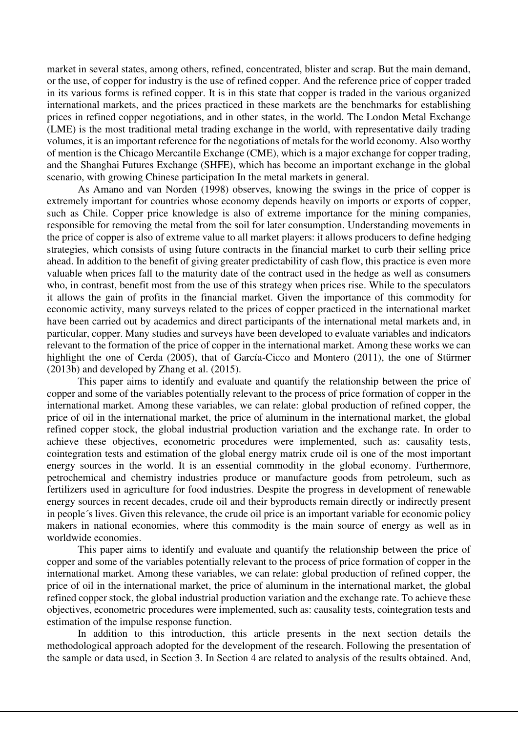market in several states, among others, refined, concentrated, blister and scrap. But the main demand, or the use, of copper for industry is the use of refined copper. And the reference price of copper traded in its various forms is refined copper. It is in this state that copper is traded in the various organized international markets, and the prices practiced in these markets are the benchmarks for establishing prices in refined copper negotiations, and in other states, in the world. The London Metal Exchange (LME) is the most traditional metal trading exchange in the world, with representative daily trading volumes, it is an important reference for the negotiations of metals for the world economy. Also worthy of mention is the Chicago Mercantile Exchange (CME), which is a major exchange for copper trading, and the Shanghai Futures Exchange (SHFE), which has become an important exchange in the global scenario, with growing Chinese participation In the metal markets in general.

As Amano and van Norden (1998) observes, knowing the swings in the price of copper is extremely important for countries whose economy depends heavily on imports or exports of copper, such as Chile. Copper price knowledge is also of extreme importance for the mining companies, responsible for removing the metal from the soil for later consumption. Understanding movements in the price of copper is also of extreme value to all market players: it allows producers to define hedging strategies, which consists of using future contracts in the financial market to curb their selling price ahead. In addition to the benefit of giving greater predictability of cash flow, this practice is even more valuable when prices fall to the maturity date of the contract used in the hedge as well as consumers who, in contrast, benefit most from the use of this strategy when prices rise. While to the speculators it allows the gain of profits in the financial market. Given the importance of this commodity for economic activity, many surveys related to the prices of copper practiced in the international market have been carried out by academics and direct participants of the international metal markets and, in particular, copper. Many studies and surveys have been developed to evaluate variables and indicators relevant to the formation of the price of copper in the international market. Among these works we can highlight the one of Cerda (2005), that of García-Cicco and Montero (2011), the one of Stürmer (2013b) and developed by Zhang et al. (2015).

This paper aims to identify and evaluate and quantify the relationship between the price of copper and some of the variables potentially relevant to the process of price formation of copper in the international market. Among these variables, we can relate: global production of refined copper, the price of oil in the international market, the price of aluminum in the international market, the global refined copper stock, the global industrial production variation and the exchange rate. In order to achieve these objectives, econometric procedures were implemented, such as: causality tests, cointegration tests and estimation of the global energy matrix crude oil is one of the most important energy sources in the world. It is an essential commodity in the global economy. Furthermore, petrochemical and chemistry industries produce or manufacture goods from petroleum, such as fertilizers used in agriculture for food industries. Despite the progress in development of renewable energy sources in recent decades, crude oil and their byproducts remain directly or indirectly present in people´s lives. Given this relevance, the crude oil price is an important variable for economic policy makers in national economies, where this commodity is the main source of energy as well as in worldwide economies.

This paper aims to identify and evaluate and quantify the relationship between the price of copper and some of the variables potentially relevant to the process of price formation of copper in the international market. Among these variables, we can relate: global production of refined copper, the price of oil in the international market, the price of aluminum in the international market, the global refined copper stock, the global industrial production variation and the exchange rate. To achieve these objectives, econometric procedures were implemented, such as: causality tests, cointegration tests and estimation of the impulse response function.

In addition to this introduction, this article presents in the next section details the methodological approach adopted for the development of the research. Following the presentation of the sample or data used, in Section 3. In Section 4 are related to analysis of the results obtained. And,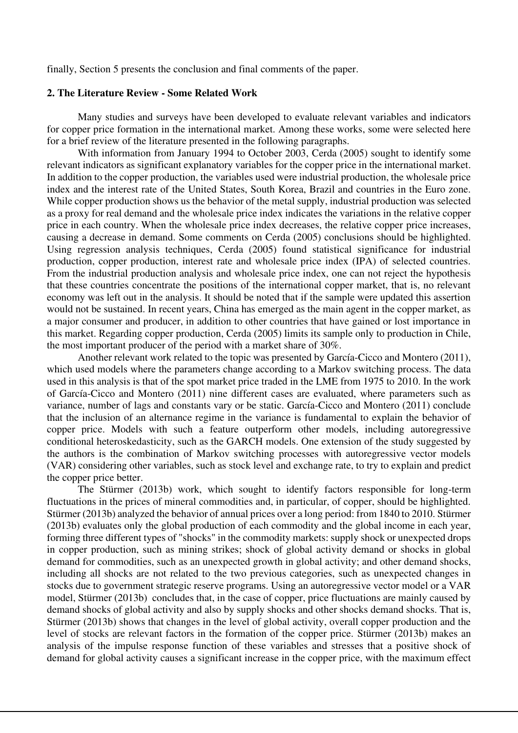finally, Section 5 presents the conclusion and final comments of the paper.

## **2. The Literature Review - Some Related Work**

Many studies and surveys have been developed to evaluate relevant variables and indicators for copper price formation in the international market. Among these works, some were selected here for a brief review of the literature presented in the following paragraphs.

With information from January 1994 to October 2003, Cerda (2005) sought to identify some relevant indicators as significant explanatory variables for the copper price in the international market. In addition to the copper production, the variables used were industrial production, the wholesale price index and the interest rate of the United States, South Korea, Brazil and countries in the Euro zone. While copper production shows us the behavior of the metal supply, industrial production was selected as a proxy for real demand and the wholesale price index indicates the variations in the relative copper price in each country. When the wholesale price index decreases, the relative copper price increases, causing a decrease in demand. Some comments on Cerda (2005) conclusions should be highlighted. Using regression analysis techniques, Cerda (2005) found statistical significance for industrial production, copper production, interest rate and wholesale price index (IPA) of selected countries. From the industrial production analysis and wholesale price index, one can not reject the hypothesis that these countries concentrate the positions of the international copper market, that is, no relevant economy was left out in the analysis. It should be noted that if the sample were updated this assertion would not be sustained. In recent years, China has emerged as the main agent in the copper market, as a major consumer and producer, in addition to other countries that have gained or lost importance in this market. Regarding copper production, Cerda (2005) limits its sample only to production in Chile, the most important producer of the period with a market share of 30%.

Another relevant work related to the topic was presented by García-Cicco and Montero (2011), which used models where the parameters change according to a Markov switching process. The data used in this analysis is that of the spot market price traded in the LME from 1975 to 2010. In the work of García-Cicco and Montero (2011) nine different cases are evaluated, where parameters such as variance, number of lags and constants vary or be static. García-Cicco and Montero (2011) conclude that the inclusion of an alternance regime in the variance is fundamental to explain the behavior of copper price. Models with such a feature outperform other models, including autoregressive conditional heteroskedasticity, such as the GARCH models. One extension of the study suggested by the authors is the combination of Markov switching processes with autoregressive vector models (VAR) considering other variables, such as stock level and exchange rate, to try to explain and predict the copper price better.

The Stürmer (2013b) work, which sought to identify factors responsible for long-term fluctuations in the prices of mineral commodities and, in particular, of copper, should be highlighted. Stürmer (2013b) analyzed the behavior of annual prices over a long period: from 1840 to 2010. Stürmer (2013b) evaluates only the global production of each commodity and the global income in each year, forming three different types of "shocks" in the commodity markets: supply shock or unexpected drops in copper production, such as mining strikes; shock of global activity demand or shocks in global demand for commodities, such as an unexpected growth in global activity; and other demand shocks, including all shocks are not related to the two previous categories, such as unexpected changes in stocks due to government strategic reserve programs. Using an autoregressive vector model or a VAR model, Stürmer (2013b) concludes that, in the case of copper, price fluctuations are mainly caused by demand shocks of global activity and also by supply shocks and other shocks demand shocks. That is, Stürmer (2013b) shows that changes in the level of global activity, overall copper production and the level of stocks are relevant factors in the formation of the copper price. Stürmer (2013b) makes an analysis of the impulse response function of these variables and stresses that a positive shock of demand for global activity causes a significant increase in the copper price, with the maximum effect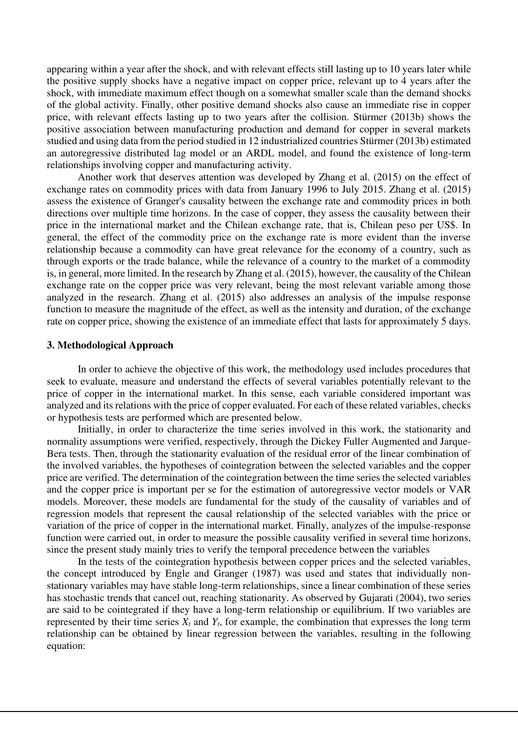appearing within a year after the shock, and with relevant effects still lasting up to 10 years later while the positive supply shocks have a negative impact on copper price, relevant up to 4 years after the shock, with immediate maximum effect though on a somewhat smaller scale than the demand shocks of the global activity. Finally, other positive demand shocks also cause an immediate rise in copper price, with relevant effects lasting up to two years after the collision. Stürmer (2013b) shows the positive association between manufacturing production and demand for copper in several markets studied and using data from the period studied in 12 industrialized countries Stürmer (2013b) estimated an autoregressive distributed lag model or an ARDL model, and found the existence of long-term relationships involving copper and manufacturing activity.

Another work that deserves attention was developed by Zhang et al. (2015) on the effect of exchange rates on commodity prices with data from January 1996 to July 2015. Zhang et al. (2015) assess the existence of Granger's causality between the exchange rate and commodity prices in both directions over multiple time horizons. In the case of copper, they assess the causality between their price in the international market and the Chilean exchange rate, that is, Chilean peso per US\$. In general, the effect of the commodity price on the exchange rate is more evident than the inverse relationship because a commodity can have great relevance for the economy of a country, such as through exports or the trade balance, while the relevance of a country to the market of a commodity is, in general, more limited. In the research by Zhang et al. (2015), however, the causality of the Chilean exchange rate on the copper price was very relevant, being the most relevant variable among those analyzed in the research. Zhang et al. (2015) also addresses an analysis of the impulse response function to measure the magnitude of the effect, as well as the intensity and duration, of the exchange rate on copper price, showing the existence of an immediate effect that lasts for approximately 5 days.

#### **3. Methodological Approach**

In order to achieve the objective of this work, the methodology used includes procedures that seek to evaluate, measure and understand the effects of several variables potentially relevant to the price of copper in the international market. In this sense, each variable considered important was analyzed and its relations with the price of copper evaluated. For each of these related variables, checks or hypothesis tests are performed which are presented below.

Initially, in order to characterize the time series involved in this work, the stationarity and normality assumptions were verified, respectively, through the Dickey Fuller Augmented and Jarque-Bera tests. Then, through the stationarity evaluation of the residual error of the linear combination of the involved variables, the hypotheses of cointegration between the selected variables and the copper price are verified. The determination of the cointegration between the time series the selected variables and the copper price is important per se for the estimation of autoregressive vector models or VAR models. Moreover, these models are fundamental for the study of the causality of variables and of regression models that represent the causal relationship of the selected variables with the price or variation of the price of copper in the international market. Finally, analyzes of the impulse-response function were carried out, in order to measure the possible causality verified in several time horizons, since the present study mainly tries to verify the temporal precedence between the variables

In the tests of the cointegration hypothesis between copper prices and the selected variables, the concept introduced by Engle and Granger (1987) was used and states that individually nonstationary variables may have stable long-term relationships, since a linear combination of these series has stochastic trends that cancel out, reaching stationarity. As observed by Gujarati (2004), two series are said to be cointegrated if they have a long-term relationship or equilibrium. If two variables are represented by their time series  $X_t$  and  $Y_t$ , for example, the combination that expresses the long term relationship can be obtained by linear regression between the variables, resulting in the following equation: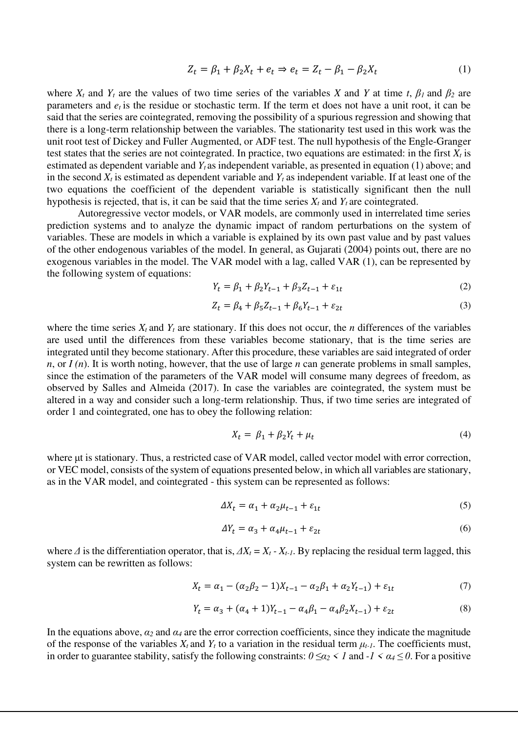$$
Z_t = \beta_1 + \beta_2 X_t + e_t \Rightarrow e_t = Z_t - \beta_1 - \beta_2 X_t \tag{1}
$$

where  $X_t$  and  $Y_t$  are the values of two time series of the variables *X* and *Y* at time *t*,  $\beta_1$  and  $\beta_2$  are parameters and  $e_t$  is the residue or stochastic term. If the term et does not have a unit root, it can be said that the series are cointegrated, removing the possibility of a spurious regression and showing that there is a long-term relationship between the variables. The stationarity test used in this work was the unit root test of Dickey and Fuller Augmented, or ADF test. The null hypothesis of the Engle-Granger test states that the series are not cointegrated. In practice, two equations are estimated: in the first  $X_t$  is estimated as dependent variable and *Y<sup>t</sup>* as independent variable, as presented in equation (1) above; and in the second *Xt* is estimated as dependent variable and *Y<sup>t</sup>* as independent variable. If at least one of the two equations the coefficient of the dependent variable is statistically significant then the null hypothesis is rejected, that is, it can be said that the time series  $X_t$  and  $Y_t$  are cointegrated.

Autoregressive vector models, or VAR models, are commonly used in interrelated time series prediction systems and to analyze the dynamic impact of random perturbations on the system of variables. These are models in which a variable is explained by its own past value and by past values of the other endogenous variables of the model. In general, as Gujarati (2004) points out, there are no exogenous variables in the model. The VAR model with a lag, called VAR (1), can be represented by the following system of equations:

$$
Y_t = \beta_1 + \beta_2 Y_{t-1} + \beta_3 Z_{t-1} + \varepsilon_{1t}
$$
 (2)

$$
Z_t = \beta_4 + \beta_5 Z_{t-1} + \beta_6 Y_{t-1} + \varepsilon_{2t} \tag{3}
$$

where the time series  $X_t$  and  $Y_t$  are stationary. If this does not occur, the *n* differences of the variables are used until the differences from these variables become stationary, that is the time series are integrated until they become stationary. After this procedure, these variables are said integrated of order *n*, or *I* (*n*). It is worth noting, however, that the use of large *n* can generate problems in small samples, since the estimation of the parameters of the VAR model will consume many degrees of freedom, as observed by Salles and Almeida (2017). In case the variables are cointegrated, the system must be altered in a way and consider such a long-term relationship. Thus, if two time series are integrated of order 1 and cointegrated, one has to obey the following relation:

$$
X_t = \beta_1 + \beta_2 Y_t + \mu_t \tag{4}
$$

where μt is stationary. Thus, a restricted case of VAR model, called vector model with error correction, or VEC model, consists of the system of equations presented below, in which all variables are stationary, as in the VAR model, and cointegrated - this system can be represented as follows:

$$
\Delta X_t = \alpha_1 + \alpha_2 \mu_{t-1} + \varepsilon_{1t} \tag{5}
$$

$$
\Delta Y_t = \alpha_3 + \alpha_4 \mu_{t-1} + \varepsilon_{2t} \tag{6}
$$

where  $\Delta$  is the differentiation operator, that is,  $\Delta X_t = X_t - X_{t-1}$ . By replacing the residual term lagged, this system can be rewritten as follows:

$$
X_t = \alpha_1 - (\alpha_2 \beta_2 - 1)X_{t-1} - \alpha_2 \beta_1 + \alpha_2 Y_{t-1}) + \varepsilon_{1t} \tag{7}
$$

$$
Y_t = \alpha_3 + (\alpha_4 + 1)Y_{t-1} - \alpha_4 \beta_1 - \alpha_4 \beta_2 X_{t-1} + \varepsilon_{2t}
$$
\n(8)

In the equations above,  $\alpha_2$  and  $\alpha_4$  are the error correction coefficients, since they indicate the magnitude of the response of the variables  $X_t$  and  $Y_t$  to a variation in the residual term  $\mu_{t-1}$ . The coefficients must, in order to guarantee stability, satisfy the following constraints:  $0 \leq \alpha_2 < 1$  and  $-1 < \alpha_4 \leq 0$ . For a positive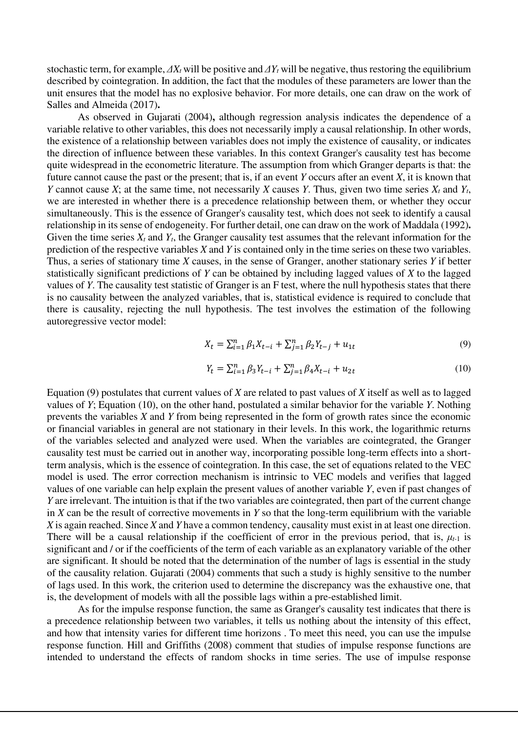stochastic term, for example,  $\Delta X_t$  will be positive and  $\Delta Y_t$  will be negative, thus restoring the equilibrium described by cointegration. In addition, the fact that the modules of these parameters are lower than the unit ensures that the model has no explosive behavior. For more details, one can draw on the work of Salles and Almeida (2017)**.**

As observed in Gujarati (2004)**,** although regression analysis indicates the dependence of a variable relative to other variables, this does not necessarily imply a causal relationship. In other words, the existence of a relationship between variables does not imply the existence of causality, or indicates the direction of influence between these variables. In this context Granger's causality test has become quite widespread in the econometric literature. The assumption from which Granger departs is that: the future cannot cause the past or the present; that is, if an event *Y* occurs after an event *X*, it is known that *Y* cannot cause *X*; at the same time, not necessarily *X* causes *Y*. Thus, given two time series  $X_t$  and  $Y_t$ , we are interested in whether there is a precedence relationship between them, or whether they occur simultaneously. This is the essence of Granger's causality test, which does not seek to identify a causal relationship in its sense of endogeneity. For further detail, one can draw on the work of Maddala (1992)**.** Given the time series  $X_t$  and  $Y_t$ , the Granger causality test assumes that the relevant information for the prediction of the respective variables *X* and *Y* is contained only in the time series on these two variables. Thus, a series of stationary time *X* causes, in the sense of Granger, another stationary series *Y* if better statistically significant predictions of *Y* can be obtained by including lagged values of *X* to the lagged values of *Y*. The causality test statistic of Granger is an F test, where the null hypothesis states that there is no causality between the analyzed variables, that is, statistical evidence is required to conclude that there is causality, rejecting the null hypothesis. The test involves the estimation of the following autoregressive vector model:

$$
X_t = \sum_{i=1}^n \beta_1 X_{t-i} + \sum_{j=1}^n \beta_2 Y_{t-j} + u_{1t}
$$
\n(9)

$$
Y_t = \sum_{i=1}^n \beta_3 Y_{t-i} + \sum_{j=1}^n \beta_4 X_{t-i} + u_{2t}
$$
 (10)

Equation (9) postulates that current values of *X* are related to past values of *X* itself as well as to lagged values of *Y*; Equation (10), on the other hand, postulated a similar behavior for the variable *Y*. Nothing prevents the variables *X* and *Y* from being represented in the form of growth rates since the economic or financial variables in general are not stationary in their levels. In this work, the logarithmic returns of the variables selected and analyzed were used. When the variables are cointegrated, the Granger causality test must be carried out in another way, incorporating possible long-term effects into a shortterm analysis, which is the essence of cointegration. In this case, the set of equations related to the VEC model is used. The error correction mechanism is intrinsic to VEC models and verifies that lagged values of one variable can help explain the present values of another variable *Y*, even if past changes of *Y* are irrelevant. The intuition is that if the two variables are cointegrated, then part of the current change in *X* can be the result of corrective movements in *Y* so that the long-term equilibrium with the variable *X* is again reached. Since *X* and *Y* have a common tendency, causality must exist in at least one direction. There will be a causal relationship if the coefficient of error in the previous period, that is,  $\mu_{t-1}$  is significant and / or if the coefficients of the term of each variable as an explanatory variable of the other are significant. It should be noted that the determination of the number of lags is essential in the study of the causality relation. Gujarati (2004) comments that such a study is highly sensitive to the number of lags used. In this work, the criterion used to determine the discrepancy was the exhaustive one, that is, the development of models with all the possible lags within a pre-established limit.

As for the impulse response function, the same as Granger's causality test indicates that there is a precedence relationship between two variables, it tells us nothing about the intensity of this effect, and how that intensity varies for different time horizons . To meet this need, you can use the impulse response function. Hill and Griffiths (2008) comment that studies of impulse response functions are intended to understand the effects of random shocks in time series. The use of impulse response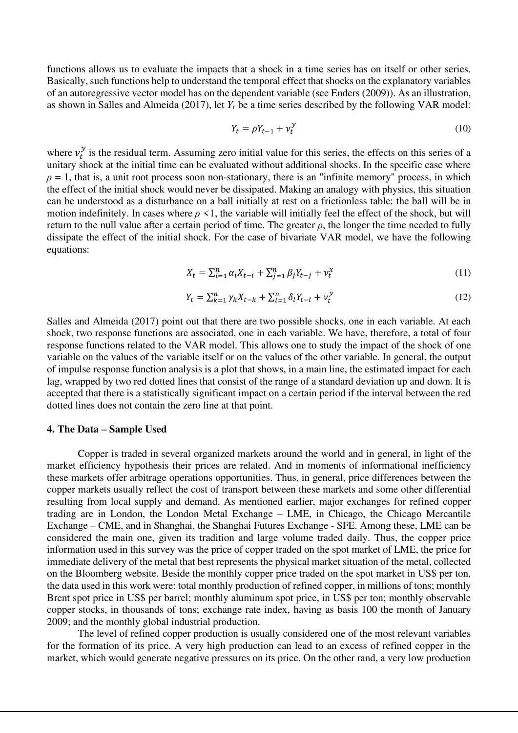functions allows us to evaluate the impacts that a shock in a time series has on itself or other series. Basically, such functions help to understand the temporal effect that shocks on the explanatory variables of an autoregressive vector model has on the dependent variable (see Enders (2009)). As an illustration, as shown in Salles and Almeida (2017), let *Y<sup>t</sup>* be a time series described by the following VAR model:

$$
Y_t = \rho Y_{t-1} + \nu_t^{\mathcal{Y}} \tag{10}
$$

where  $v_t^y$  is the residual term. Assuming zero initial value for this series, the effects on this series of a unitary shock at the initial time can be evaluated without additional shocks. In the specific case where  $\rho = 1$ , that is, a unit root process soon non-stationary, there is an "infinite memory" process, in which the effect of the initial shock would never be dissipated. Making an analogy with physics, this situation can be understood as a disturbance on a ball initially at rest on a frictionless table: the ball will be in motion indefinitely. In cases where *ρ <*1, the variable will initially feel the effect of the shock, but will return to the null value after a certain period of time. The greater  $\rho$ , the longer the time needed to fully dissipate the effect of the initial shock. For the case of bivariate VAR model, we have the following equations:

$$
X_t = \sum_{i=1}^n \alpha_i X_{t-i} + \sum_{j=1}^n \beta_j Y_{t-j} + \nu_t^x \tag{11}
$$

$$
Y_t = \sum_{k=1}^n \gamma_k X_{t-k} + \sum_{l=1}^n \delta_l Y_{t-l} + v_t^y
$$
\n(12)

Salles and Almeida (2017) point out that there are two possible shocks, one in each variable. At each shock, two response functions are associated, one in each variable. We have, therefore, a total of four response functions related to the VAR model. This allows one to study the impact of the shock of one variable on the values of the variable itself or on the values of the other variable. In general, the output of impulse response function analysis is a plot that shows, in a main line, the estimated impact for each lag, wrapped by two red dotted lines that consist of the range of a standard deviation up and down. It is accepted that there is a statistically significant impact on a certain period if the interval between the red dotted lines does not contain the zero line at that point.

## **4. The Data – Sample Used**

Copper is traded in several organized markets around the world and in general, in light of the market efficiency hypothesis their prices are related. And in moments of informational inefficiency these markets offer arbitrage operations opportunities. Thus, in general, price differences between the copper markets usually reflect the cost of transport between these markets and some other differential resulting from local supply and demand. As mentioned earlier, major exchanges for refined copper trading are in London, the London Metal Exchange – LME, in Chicago, the Chicago Mercantile Exchange – CME, and in Shanghai, the Shanghai Futures Exchange - SFE. Among these, LME can be considered the main one, given its tradition and large volume traded daily. Thus, the copper price information used in this survey was the price of copper traded on the spot market of LME, the price for immediate delivery of the metal that best represents the physical market situation of the metal, collected on the Bloomberg website. Beside the monthly copper price traded on the spot market in US\$ per ton, the data used in this work were: total monthly production of refined copper, in millions of tons; monthly Brent spot price in US\$ per barrel; monthly aluminum spot price, in US\$ per ton; monthly observable copper stocks, in thousands of tons; exchange rate index, having as basis 100 the month of January 2009; and the monthly global industrial production.

The level of refined copper production is usually considered one of the most relevant variables for the formation of its price. A very high production can lead to an excess of refined copper in the market, which would generate negative pressures on its price. On the other rand, a very low production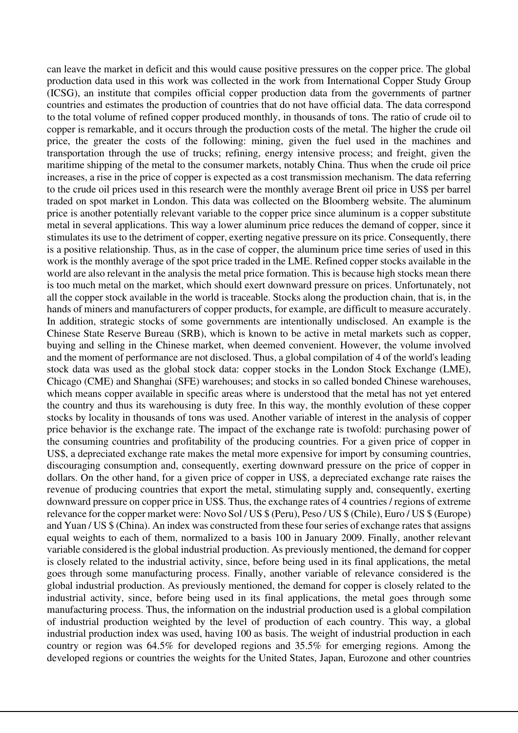can leave the market in deficit and this would cause positive pressures on the copper price. The global production data used in this work was collected in the work from International Copper Study Group (ICSG), an institute that compiles official copper production data from the governments of partner countries and estimates the production of countries that do not have official data. The data correspond to the total volume of refined copper produced monthly, in thousands of tons. The ratio of crude oil to copper is remarkable, and it occurs through the production costs of the metal. The higher the crude oil price, the greater the costs of the following: mining, given the fuel used in the machines and transportation through the use of trucks; refining, energy intensive process; and freight, given the maritime shipping of the metal to the consumer markets, notably China. Thus when the crude oil price increases, a rise in the price of copper is expected as a cost transmission mechanism. The data referring to the crude oil prices used in this research were the monthly average Brent oil price in US\$ per barrel traded on spot market in London. This data was collected on the Bloomberg website. The aluminum price is another potentially relevant variable to the copper price since aluminum is a copper substitute metal in several applications. This way a lower aluminum price reduces the demand of copper, since it stimulates its use to the detriment of copper, exerting negative pressure on its price. Consequently, there is a positive relationship. Thus, as in the case of copper, the aluminum price time series of used in this work is the monthly average of the spot price traded in the LME. Refined copper stocks available in the world are also relevant in the analysis the metal price formation. This is because high stocks mean there is too much metal on the market, which should exert downward pressure on prices. Unfortunately, not all the copper stock available in the world is traceable. Stocks along the production chain, that is, in the hands of miners and manufacturers of copper products, for example, are difficult to measure accurately. In addition, strategic stocks of some governments are intentionally undisclosed. An example is the Chinese State Reserve Bureau (SRB), which is known to be active in metal markets such as copper, buying and selling in the Chinese market, when deemed convenient. However, the volume involved and the moment of performance are not disclosed. Thus, a global compilation of 4 of the world's leading stock data was used as the global stock data: copper stocks in the London Stock Exchange (LME), Chicago (CME) and Shanghai (SFE) warehouses; and stocks in so called bonded Chinese warehouses, which means copper available in specific areas where is understood that the metal has not yet entered the country and thus its warehousing is duty free. In this way, the monthly evolution of these copper stocks by locality in thousands of tons was used. Another variable of interest in the analysis of copper price behavior is the exchange rate. The impact of the exchange rate is twofold: purchasing power of the consuming countries and profitability of the producing countries. For a given price of copper in US\$, a depreciated exchange rate makes the metal more expensive for import by consuming countries, discouraging consumption and, consequently, exerting downward pressure on the price of copper in dollars. On the other hand, for a given price of copper in US\$, a depreciated exchange rate raises the revenue of producing countries that export the metal, stimulating supply and, consequently, exerting downward pressure on copper price in US\$. Thus, the exchange rates of 4 countries / regions of extreme relevance for the copper market were: Novo Sol / US \$ (Peru), Peso / US \$ (Chile), Euro / US \$ (Europe) and Yuan / US \$ (China). An index was constructed from these four series of exchange rates that assigns equal weights to each of them, normalized to a basis 100 in January 2009. Finally, another relevant variable considered is the global industrial production. As previously mentioned, the demand for copper is closely related to the industrial activity, since, before being used in its final applications, the metal goes through some manufacturing process. Finally, another variable of relevance considered is the global industrial production. As previously mentioned, the demand for copper is closely related to the industrial activity, since, before being used in its final applications, the metal goes through some manufacturing process. Thus, the information on the industrial production used is a global compilation of industrial production weighted by the level of production of each country. This way, a global industrial production index was used, having 100 as basis. The weight of industrial production in each country or region was 64.5% for developed regions and 35.5% for emerging regions. Among the developed regions or countries the weights for the United States, Japan, Eurozone and other countries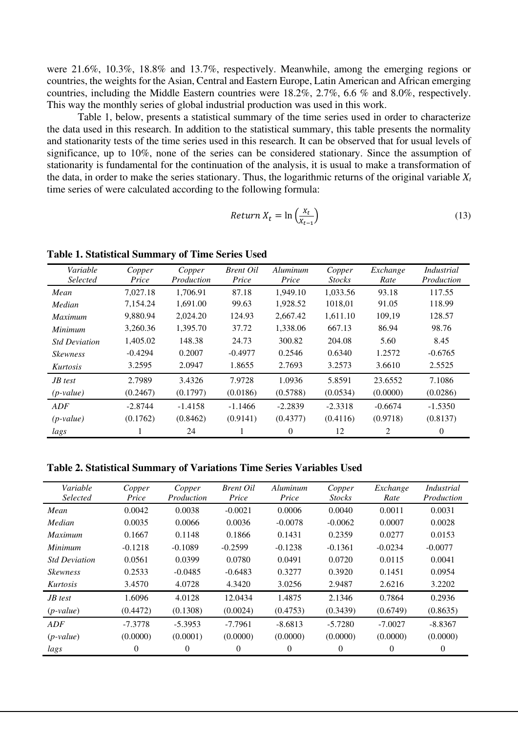were 21.6%, 10.3%, 18.8% and 13.7%, respectively. Meanwhile, among the emerging regions or countries, the weights for the Asian, Central and Eastern Europe, Latin American and African emerging countries, including the Middle Eastern countries were 18.2%, 2.7%, 6.6 % and 8.0%, respectively. This way the monthly series of global industrial production was used in this work.

Table 1, below, presents a statistical summary of the time series used in order to characterize the data used in this research. In addition to the statistical summary, this table presents the normality and stationarity tests of the time series used in this research. It can be observed that for usual levels of significance, up to 10%, none of the series can be considered stationary. Since the assumption of stationarity is fundamental for the continuation of the analysis, it is usual to make a transformation of the data, in order to make the series stationary. Thus, the logarithmic returns of the original variable  $X_t$ time series of were calculated according to the following formula:

$$
Return X_t = \ln\left(\frac{X_t}{X_{t-1}}\right) \tag{13}
$$

**Table 1. Statistical Summary of Time Series Used** 

| Variable<br>Selected | Copper<br>Price | Copper<br>Production | <b>Brent Oil</b><br>Price | Aluminum<br>Price | Copper<br><b>Stocks</b> | Exchange<br>Rate | Industrial<br>Production |
|----------------------|-----------------|----------------------|---------------------------|-------------------|-------------------------|------------------|--------------------------|
| Mean                 | 7.027.18        | 1.706.91             | 87.18                     | 1.949.10          | 1.033.56                | 93.18            | 117.55                   |
| Median               | 7.154.24        | 1.691.00             | 99.63                     | 1.928.52          | 1018.01                 | 91.05            | 118.99                   |
| <i>Maximum</i>       | 9,880.94        | 2,024.20             | 124.93                    | 2,667.42          | 1,611.10                | 109,19           | 128.57                   |
| <i>Minimum</i>       | 3,260.36        | 1,395.70             | 37.72                     | 1,338.06          | 667.13                  | 86.94            | 98.76                    |
| <b>Std Deviation</b> | 1.405.02        | 148.38               | 24.73                     | 300.82            | 204.08                  | 5.60             | 8.45                     |
| <b>Skewness</b>      | $-0.4294$       | 0.2007               | $-0.4977$                 | 0.2546            | 0.6340                  | 1.2572           | $-0.6765$                |
| Kurtosis             | 3.2595          | 2.0947               | 1.8655                    | 2.7693            | 3.2573                  | 3.6610           | 2.5525                   |
| $JB$ test            | 2.7989          | 3.4326               | 7.9728                    | 1.0936            | 5.8591                  | 23.6552          | 7.1086                   |
| $(p-value)$          | (0.2467)        | (0.1797)             | (0.0186)                  | (0.5788)          | (0.0534)                | (0.0000)         | (0.0286)                 |
| ADF                  | $-2.8744$       | $-1.4158$            | $-1.1466$                 | $-2.2839$         | $-2.3318$               | $-0.6674$        | $-1.5350$                |
| $(p-value)$          | (0.1762)        | (0.8462)             | (0.9141)                  | (0.4377)          | (0.4116)                | (0.9718)         | (0.8137)                 |
| lags                 |                 | 24                   |                           | 0                 | 12                      | 2                | 0                        |

**Table 2. Statistical Summary of Variations Time Series Variables Used** 

| Variable<br><b>Selected</b> | Copper<br>Price | Copper<br>Production | <b>Brent Oil</b><br>Price | Aluminum<br>Price | Copper<br><b>Stocks</b> | Exchange<br>Rate | Industrial<br>Production |
|-----------------------------|-----------------|----------------------|---------------------------|-------------------|-------------------------|------------------|--------------------------|
| Mean                        | 0.0042          | 0.0038               | $-0.0021$                 | 0.0006            | 0.0040                  | 0.0011           | 0.0031                   |
| Median                      | 0.0035          | 0.0066               | 0.0036                    | $-0.0078$         | $-0.0062$               | 0.0007           | 0.0028                   |
| <i>Maximum</i>              | 0.1667          | 0.1148               | 0.1866                    | 0.1431            | 0.2359                  | 0.0277           | 0.0153                   |
| <i>Minimum</i>              | $-0.1218$       | $-0.1089$            | $-0.2599$                 | $-0.1238$         | $-0.1361$               | $-0.0234$        | $-0.0077$                |
| <b>Std Deviation</b>        | 0.0561          | 0.0399               | 0.0780                    | 0.0491            | 0.0720                  | 0.0115           | 0.0041                   |
| <b>Skewness</b>             | 0.2533          | $-0.0485$            | $-0.6483$                 | 0.3277            | 0.3920                  | 0.1451           | 0.0954                   |
| Kurtosis                    | 3.4570          | 4.0728               | 4.3420                    | 3.0256            | 2.9487                  | 2.6216           | 3.2202                   |
| JB test                     | 1.6096          | 4.0128               | 12.0434                   | 1.4875            | 2.1346                  | 0.7864           | 0.2936                   |
| $(p-value)$                 | (0.4472)        | (0.1308)             | (0.0024)                  | (0.4753)          | (0.3439)                | (0.6749)         | (0.8635)                 |
| ADF                         | $-7.3778$       | $-5.3953$            | $-7.7961$                 | $-8.6813$         | $-5.7280$               | $-7.0027$        | $-8.8367$                |
| $(p-value)$                 | (0.0000)        | (0.0001)             | (0.0000)                  | (0.0000)          | (0.0000)                | (0.0000)         | (0.0000)                 |
| lags                        | $\Omega$        | $\theta$             | $\theta$                  | $\theta$          | $\theta$                | 0                | $\theta$                 |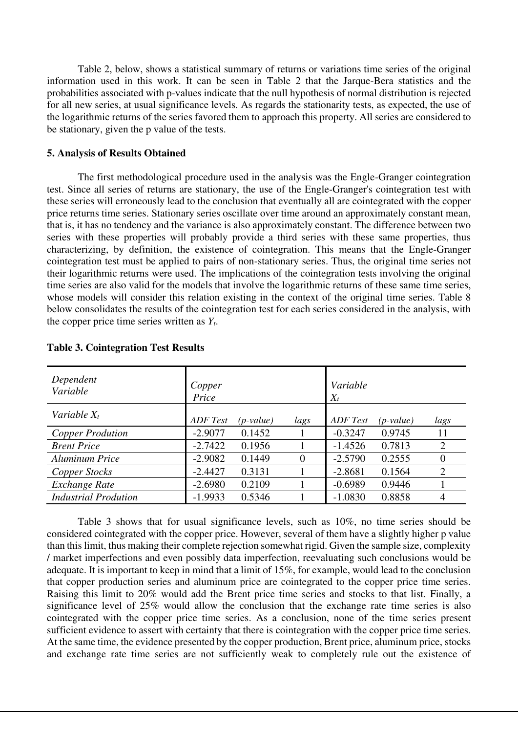Table 2, below, shows a statistical summary of returns or variations time series of the original information used in this work. It can be seen in Table 2 that the Jarque-Bera statistics and the probabilities associated with p-values indicate that the null hypothesis of normal distribution is rejected for all new series, at usual significance levels. As regards the stationarity tests, as expected, the use of the logarithmic returns of the series favored them to approach this property. All series are considered to be stationary, given the p value of the tests.

## **5. Analysis of Results Obtained**

The first methodological procedure used in the analysis was the Engle-Granger cointegration test. Since all series of returns are stationary, the use of the Engle-Granger's cointegration test with these series will erroneously lead to the conclusion that eventually all are cointegrated with the copper price returns time series. Stationary series oscillate over time around an approximately constant mean, that is, it has no tendency and the variance is also approximately constant. The difference between two series with these properties will probably provide a third series with these same properties, thus characterizing, by definition, the existence of cointegration. This means that the Engle-Granger cointegration test must be applied to pairs of non-stationary series. Thus, the original time series not their logarithmic returns were used. The implications of the cointegration tests involving the original time series are also valid for the models that involve the logarithmic returns of these same time series, whose models will consider this relation existing in the context of the original time series. Table 8 below consolidates the results of the cointegration test for each series considered in the analysis, with the copper price time series written as *Yt*.

| Dependent<br>Variable       | Copper<br>Price |             |                | Variable<br>$X_t$ |             |                |
|-----------------------------|-----------------|-------------|----------------|-------------------|-------------|----------------|
| Variable $X_t$              | ADF Test        | $(p-value)$ | lags           | ADF Test          | $(p-value)$ | lags           |
| <b>Copper Prodution</b>     | $-2.9077$       | 0.1452      |                | $-0.3247$         | 0.9745      | 11             |
| <b>Brent Price</b>          | $-2.7422$       | 0.1956      |                | $-1.4526$         | 0.7813      | $\overline{2}$ |
| Aluminum Price              | $-2.9082$       | 0.1449      | $\overline{0}$ | $-2.5790$         | 0.2555      | $\overline{0}$ |
| Copper Stocks               | $-2.4427$       | 0.3131      |                | $-2.8681$         | 0.1564      | $\overline{2}$ |
| Exchange Rate               | $-2.6980$       | 0.2109      |                | $-0.6989$         | 0.9446      |                |
| <b>Industrial Prodution</b> | $-1.9933$       | 0.5346      |                | $-1.0830$         | 0.8858      | 4              |

## **Table 3. Cointegration Test Results**

Table 3 shows that for usual significance levels, such as 10%, no time series should be considered cointegrated with the copper price. However, several of them have a slightly higher p value than this limit, thus making their complete rejection somewhat rigid. Given the sample size, complexity / market imperfections and even possibly data imperfection, reevaluating such conclusions would be adequate. It is important to keep in mind that a limit of 15%, for example, would lead to the conclusion that copper production series and aluminum price are cointegrated to the copper price time series. Raising this limit to 20% would add the Brent price time series and stocks to that list. Finally, a significance level of 25% would allow the conclusion that the exchange rate time series is also cointegrated with the copper price time series. As a conclusion, none of the time series present sufficient evidence to assert with certainty that there is cointegration with the copper price time series. At the same time, the evidence presented by the copper production, Brent price, aluminum price, stocks and exchange rate time series are not sufficiently weak to completely rule out the existence of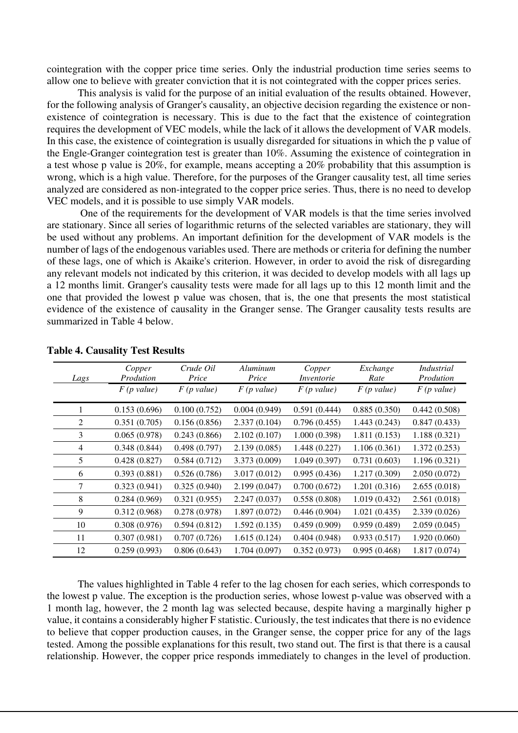cointegration with the copper price time series. Only the industrial production time series seems to allow one to believe with greater conviction that it is not cointegrated with the copper prices series.

This analysis is valid for the purpose of an initial evaluation of the results obtained. However, for the following analysis of Granger's causality, an objective decision regarding the existence or nonexistence of cointegration is necessary. This is due to the fact that the existence of cointegration requires the development of VEC models, while the lack of it allows the development of VAR models. In this case, the existence of cointegration is usually disregarded for situations in which the p value of the Engle-Granger cointegration test is greater than 10%. Assuming the existence of cointegration in a test whose p value is 20%, for example, means accepting a 20% probability that this assumption is wrong, which is a high value. Therefore, for the purposes of the Granger causality test, all time series analyzed are considered as non-integrated to the copper price series. Thus, there is no need to develop VEC models, and it is possible to use simply VAR models.

 One of the requirements for the development of VAR models is that the time series involved are stationary. Since all series of logarithmic returns of the selected variables are stationary, they will be used without any problems. An important definition for the development of VAR models is the number of lags of the endogenous variables used. There are methods or criteria for defining the number of these lags, one of which is Akaike's criterion. However, in order to avoid the risk of disregarding any relevant models not indicated by this criterion, it was decided to develop models with all lags up a 12 months limit. Granger's causality tests were made for all lags up to this 12 month limit and the one that provided the lowest p value was chosen, that is, the one that presents the most statistical evidence of the existence of causality in the Granger sense. The Granger causality tests results are summarized in Table 4 below.

| Lags | Copper<br>Prodution | Crude Oil<br>Price | Aluminum<br>Price | Copper<br>Inventorie | Exchange<br>Rate | Industrial<br>Prodution |
|------|---------------------|--------------------|-------------------|----------------------|------------------|-------------------------|
|      | $F$ (p value)       | $F$ (p value)      | $F$ (p value)     | $F$ (p value)        | $F$ (p value)    | $F$ (p value)           |
|      | 0.153(0.696)        | 0.100(0.752)       | 0.004(0.949)      | 0.591(0.444)         | 0.885(0.350)     | 0.442(0.508)            |
| 2    | 0.351(0.705)        | 0.156(0.856)       | 2.337(0.104)      | 0.796(0.455)         | 1.443(0.243)     | 0.847(0.433)            |
| 3    | 0.065(0.978)        | 0.243(0.866)       | 2.102(0.107)      | 1.000(0.398)         | 1.811(0.153)     | 1.188(0.321)            |
| 4    | 0.348(0.844)        | 0.498(0.797)       | 2.139(0.085)      | 1.448 (0.227)        | 1.106(0.361)     | 1.372(0.253)            |
| 5    | 0.428(0.827)        | 0.584(0.712)       | 3.373 (0.009)     | 1.049(0.397)         | 0.731(0.603)     | 1.196(0.321)            |
| 6    | 0.393(0.881)        | 0.526(0.786)       | 3.017(0.012)      | 0.995(0.436)         | 1.217(0.309)     | 2.050(0.072)            |
| 7    | 0.323(0.941)        | 0.325(0.940)       | 2.199(0.047)      | 0.700(0.672)         | 1.201(0.316)     | 2.655(0.018)            |
| 8    | 0.284(0.969)        | 0.321(0.955)       | 2.247(0.037)      | 0.558(0.808)         | 1.019(0.432)     | 2.561(0.018)            |
| 9    | 0.312(0.968)        | 0.278(0.978)       | 1.897(0.072)      | 0.446(0.904)         | 1.021(0.435)     | 2.339 (0.026)           |
| 10   | 0.308(0.976)        | 0.594(0.812)       | 1.592(0.135)      | 0.459(0.909)         | 0.959(0.489)     | 2.059(0.045)            |
| 11   | 0.307(0.981)        | 0.707(0.726)       | 1.615(0.124)      | 0.404(0.948)         | 0.933(0.517)     | 1.920(0.060)            |
| 12   | 0.259(0.993)        | 0.806(0.643)       | 1.704 (0.097)     | 0.352(0.973)         | 0.995(0.468)     | 1.817(0.074)            |

## **Table 4. Causality Test Results**

The values highlighted in Table 4 refer to the lag chosen for each series, which corresponds to the lowest p value. The exception is the production series, whose lowest p-value was observed with a 1 month lag, however, the 2 month lag was selected because, despite having a marginally higher p value, it contains a considerably higher F statistic. Curiously, the test indicates that there is no evidence to believe that copper production causes, in the Granger sense, the copper price for any of the lags tested. Among the possible explanations for this result, two stand out. The first is that there is a causal relationship. However, the copper price responds immediately to changes in the level of production.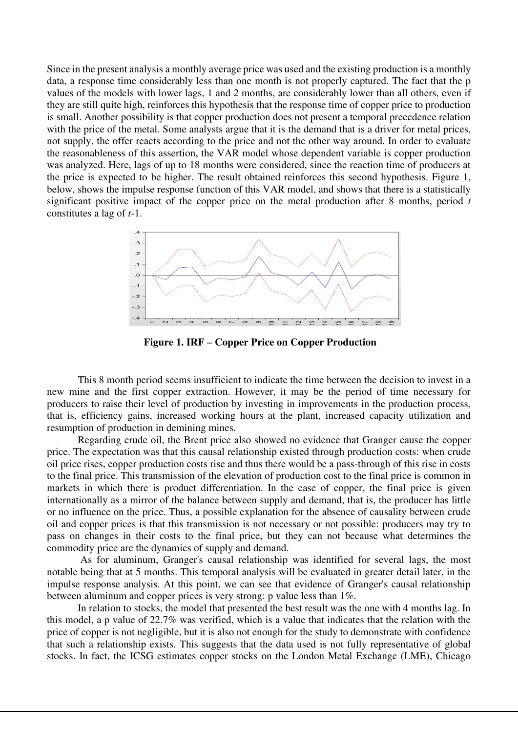Since in the present analysis a monthly average price was used and the existing production is a monthly data, a response time considerably less than one month is not properly captured. The fact that the p values of the models with lower lags, 1 and 2 months, are considerably lower than all others, even if they are still quite high, reinforces this hypothesis that the response time of copper price to production is small. Another possibility is that copper production does not present a temporal precedence relation with the price of the metal. Some analysts argue that it is the demand that is a driver for metal prices, not supply, the offer reacts according to the price and not the other way around. In order to evaluate the reasonableness of this assertion, the VAR model whose dependent variable is copper production was analyzed. Here, lags of up to 18 months were considered, since the reaction time of producers at the price is expected to be higher. The result obtained reinforces this second hypothesis. Figure 1, below, shows the impulse response function of this VAR model, and shows that there is a statistically significant positive impact of the copper price on the metal production after 8 months, period *t* constitutes a lag of *t-*1.



 **Figure 1. IRF – Copper Price on Copper Production** 

This 8 month period seems insufficient to indicate the time between the decision to invest in a new mine and the first copper extraction. However, it may be the period of time necessary for producers to raise their level of production by investing in improvements in the production process, that is, efficiency gains, increased working hours at the plant, increased capacity utilization and resumption of production in demining mines.

Regarding crude oil, the Brent price also showed no evidence that Granger cause the copper price. The expectation was that this causal relationship existed through production costs: when crude oil price rises, copper production costs rise and thus there would be a pass-through of this rise in costs to the final price. This transmission of the elevation of production cost to the final price is common in markets in which there is product differentiation. In the case of copper, the final price is given internationally as a mirror of the balance between supply and demand, that is, the producer has little or no influence on the price. Thus, a possible explanation for the absence of causality between crude oil and copper prices is that this transmission is not necessary or not possible: producers may try to pass on changes in their costs to the final price, but they can not because what determines the commodity price are the dynamics of supply and demand.

 As for aluminum, Granger's causal relationship was identified for several lags, the most notable being that at 5 months. This temporal analysis will be evaluated in greater detail later, in the impulse response analysis. At this point, we can see that evidence of Granger's causal relationship between aluminum and copper prices is very strong: p value less than 1%.

In relation to stocks, the model that presented the best result was the one with 4 months lag. In this model, a p value of 22.7% was verified, which is a value that indicates that the relation with the price of copper is not negligible, but it is also not enough for the study to demonstrate with confidence that such a relationship exists. This suggests that the data used is not fully representative of global stocks. In fact, the ICSG estimates copper stocks on the London Metal Exchange (LME), Chicago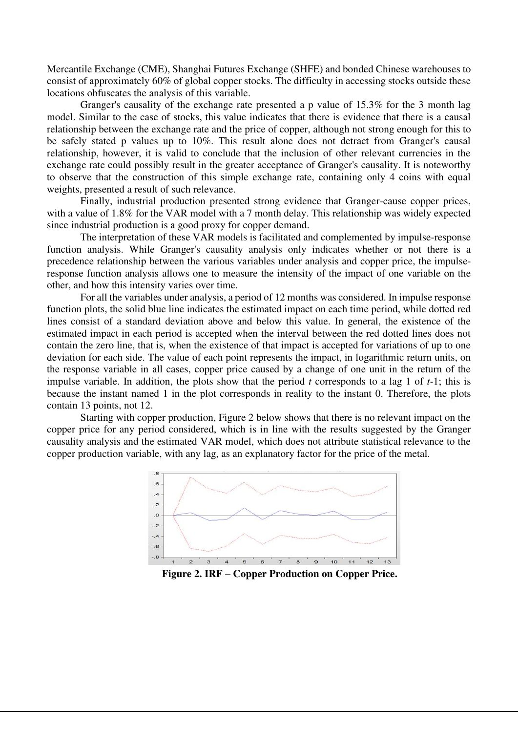Mercantile Exchange (CME), Shanghai Futures Exchange (SHFE) and bonded Chinese warehouses to consist of approximately 60% of global copper stocks. The difficulty in accessing stocks outside these locations obfuscates the analysis of this variable.

 Granger's causality of the exchange rate presented a p value of 15.3% for the 3 month lag model. Similar to the case of stocks, this value indicates that there is evidence that there is a causal relationship between the exchange rate and the price of copper, although not strong enough for this to be safely stated p values up to 10%. This result alone does not detract from Granger's causal relationship, however, it is valid to conclude that the inclusion of other relevant currencies in the exchange rate could possibly result in the greater acceptance of Granger's causality. It is noteworthy to observe that the construction of this simple exchange rate, containing only 4 coins with equal weights, presented a result of such relevance.

 Finally, industrial production presented strong evidence that Granger-cause copper prices, with a value of 1.8% for the VAR model with a 7 month delay. This relationship was widely expected since industrial production is a good proxy for copper demand.

 The interpretation of these VAR models is facilitated and complemented by impulse-response function analysis. While Granger's causality analysis only indicates whether or not there is a precedence relationship between the various variables under analysis and copper price, the impulseresponse function analysis allows one to measure the intensity of the impact of one variable on the other, and how this intensity varies over time.

 For all the variables under analysis, a period of 12 months was considered. In impulse response function plots, the solid blue line indicates the estimated impact on each time period, while dotted red lines consist of a standard deviation above and below this value. In general, the existence of the estimated impact in each period is accepted when the interval between the red dotted lines does not contain the zero line, that is, when the existence of that impact is accepted for variations of up to one deviation for each side. The value of each point represents the impact, in logarithmic return units, on the response variable in all cases, copper price caused by a change of one unit in the return of the impulse variable. In addition, the plots show that the period *t* corresponds to a lag 1 of *t-*1; this is because the instant named 1 in the plot corresponds in reality to the instant 0. Therefore, the plots contain 13 points, not 12.

 Starting with copper production, Figure 2 below shows that there is no relevant impact on the copper price for any period considered, which is in line with the results suggested by the Granger causality analysis and the estimated VAR model, which does not attribute statistical relevance to the copper production variable, with any lag, as an explanatory factor for the price of the metal.



 **Figure 2. IRF – Copper Production on Copper Price.**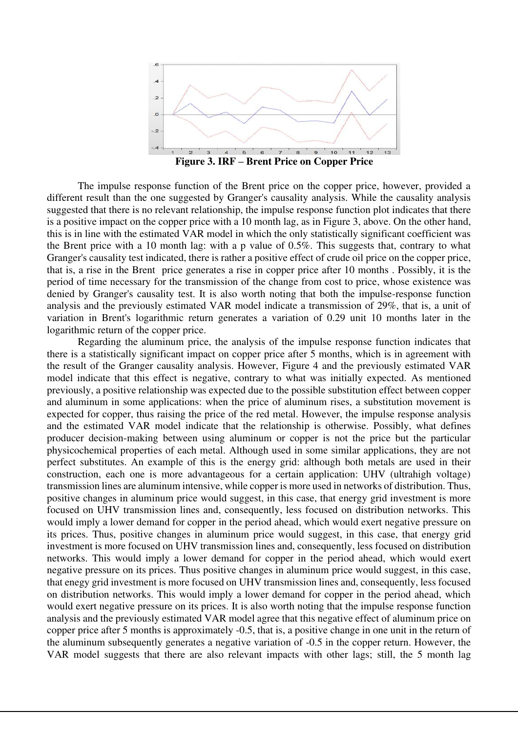

**Figure 3. IRF – Brent Price on Copper Price** 

The impulse response function of the Brent price on the copper price, however, provided a different result than the one suggested by Granger's causality analysis. While the causality analysis suggested that there is no relevant relationship, the impulse response function plot indicates that there is a positive impact on the copper price with a 10 month lag, as in Figure 3, above. On the other hand, this is in line with the estimated VAR model in which the only statistically significant coefficient was the Brent price with a 10 month lag: with a p value of 0.5%. This suggests that, contrary to what Granger's causality test indicated, there is rather a positive effect of crude oil price on the copper price, that is, a rise in the Brent price generates a rise in copper price after 10 months . Possibly, it is the period of time necessary for the transmission of the change from cost to price, whose existence was denied by Granger's causality test. It is also worth noting that both the impulse-response function analysis and the previously estimated VAR model indicate a transmission of 29%, that is, a unit of variation in Brent's logarithmic return generates a variation of 0.29 unit 10 months later in the logarithmic return of the copper price.

Regarding the aluminum price, the analysis of the impulse response function indicates that there is a statistically significant impact on copper price after 5 months, which is in agreement with the result of the Granger causality analysis. However, Figure 4 and the previously estimated VAR model indicate that this effect is negative, contrary to what was initially expected. As mentioned previously, a positive relationship was expected due to the possible substitution effect between copper and aluminum in some applications: when the price of aluminum rises, a substitution movement is expected for copper, thus raising the price of the red metal. However, the impulse response analysis and the estimated VAR model indicate that the relationship is otherwise. Possibly, what defines producer decision-making between using aluminum or copper is not the price but the particular physicochemical properties of each metal. Although used in some similar applications, they are not perfect substitutes. An example of this is the energy grid: although both metals are used in their construction, each one is more advantageous for a certain application: UHV (ultrahigh voltage) transmission lines are aluminum intensive, while copper is more used in networks of distribution. Thus, positive changes in aluminum price would suggest, in this case, that energy grid investment is more focused on UHV transmission lines and, consequently, less focused on distribution networks. This would imply a lower demand for copper in the period ahead, which would exert negative pressure on its prices. Thus, positive changes in aluminum price would suggest, in this case, that energy grid investment is more focused on UHV transmission lines and, consequently, less focused on distribution networks. This would imply a lower demand for copper in the period ahead, which would exert negative pressure on its prices. Thus positive changes in aluminum price would suggest, in this case, that enegy grid investment is more focused on UHV transmission lines and, consequently, less focused on distribution networks. This would imply a lower demand for copper in the period ahead, which would exert negative pressure on its prices. It is also worth noting that the impulse response function analysis and the previously estimated VAR model agree that this negative effect of aluminum price on copper price after 5 months is approximately -0.5, that is, a positive change in one unit in the return of the aluminum subsequently generates a negative variation of -0.5 in the copper return. However, the VAR model suggests that there are also relevant impacts with other lags; still, the 5 month lag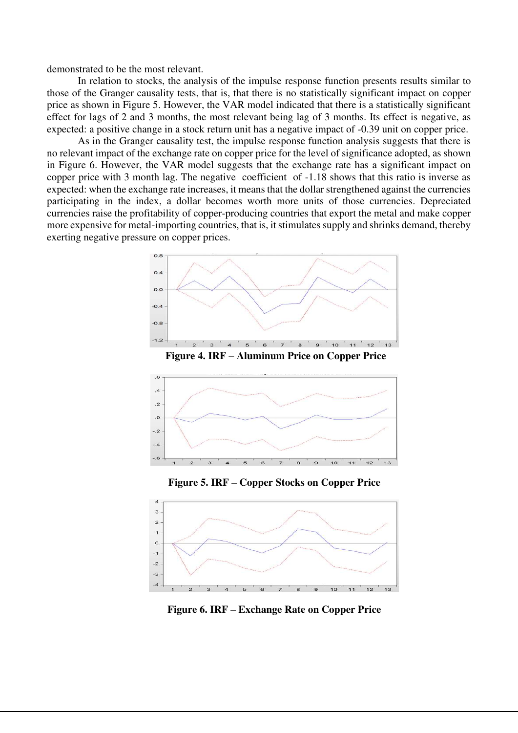demonstrated to be the most relevant.

In relation to stocks, the analysis of the impulse response function presents results similar to those of the Granger causality tests, that is, that there is no statistically significant impact on copper price as shown in Figure 5. However, the VAR model indicated that there is a statistically significant effect for lags of 2 and 3 months, the most relevant being lag of 3 months. Its effect is negative, as expected: a positive change in a stock return unit has a negative impact of -0.39 unit on copper price.

As in the Granger causality test, the impulse response function analysis suggests that there is no relevant impact of the exchange rate on copper price for the level of significance adopted, as shown in Figure 6. However, the VAR model suggests that the exchange rate has a significant impact on copper price with 3 month lag. The negative coefficient of -1.18 shows that this ratio is inverse as expected: when the exchange rate increases, it means that the dollar strengthened against the currencies participating in the index, a dollar becomes worth more units of those currencies. Depreciated currencies raise the profitability of copper-producing countries that export the metal and make copper more expensive for metal-importing countries, that is, it stimulates supply and shrinks demand, thereby exerting negative pressure on copper prices.





**Figure 5. IRF – Copper Stocks on Copper Price** 



**Figure 6. IRF – Exchange Rate on Copper Price**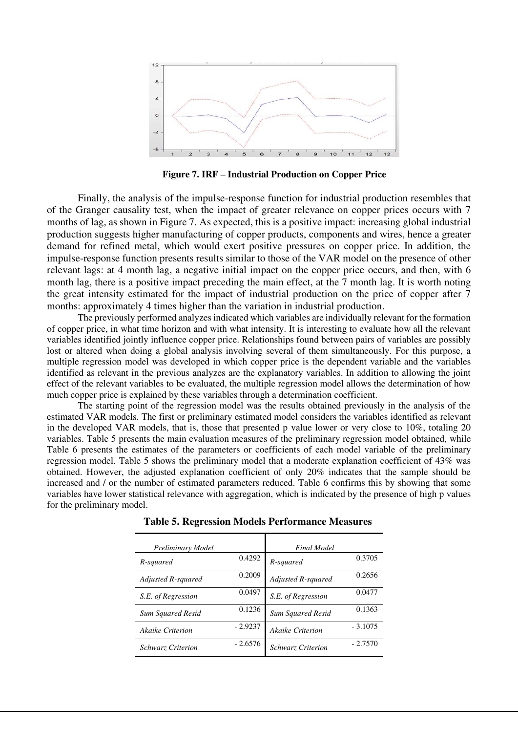

**Figure 7. IRF – Industrial Production on Copper Price**

Finally, the analysis of the impulse-response function for industrial production resembles that of the Granger causality test, when the impact of greater relevance on copper prices occurs with 7 months of lag, as shown in Figure 7. As expected, this is a positive impact: increasing global industrial production suggests higher manufacturing of copper products, components and wires, hence a greater demand for refined metal, which would exert positive pressures on copper price. In addition, the impulse-response function presents results similar to those of the VAR model on the presence of other relevant lags: at 4 month lag, a negative initial impact on the copper price occurs, and then, with 6 month lag, there is a positive impact preceding the main effect, at the 7 month lag. It is worth noting the great intensity estimated for the impact of industrial production on the price of copper after 7 months: approximately 4 times higher than the variation in industrial production.

The previously performed analyzes indicated which variables are individually relevant for the formation of copper price, in what time horizon and with what intensity. It is interesting to evaluate how all the relevant variables identified jointly influence copper price. Relationships found between pairs of variables are possibly lost or altered when doing a global analysis involving several of them simultaneously. For this purpose, a multiple regression model was developed in which copper price is the dependent variable and the variables identified as relevant in the previous analyzes are the explanatory variables. In addition to allowing the joint effect of the relevant variables to be evaluated, the multiple regression model allows the determination of how much copper price is explained by these variables through a determination coefficient.

The starting point of the regression model was the results obtained previously in the analysis of the estimated VAR models. The first or preliminary estimated model considers the variables identified as relevant in the developed VAR models, that is, those that presented p value lower or very close to 10%, totaling 20 variables. Table 5 presents the main evaluation measures of the preliminary regression model obtained, while Table 6 presents the estimates of the parameters or coefficients of each model variable of the preliminary regression model. Table 5 shows the preliminary model that a moderate explanation coefficient of 43% was obtained. However, the adjusted explanation coefficient of only 20% indicates that the sample should be increased and / or the number of estimated parameters reduced. Table 6 confirms this by showing that some variables have lower statistical relevance with aggregation, which is indicated by the presence of high p values for the preliminary model.

| Preliminary Model        |           | <b>Final Model</b>       |           |
|--------------------------|-----------|--------------------------|-----------|
| R-squared                | 0.4292    | R-squared                | 0.3705    |
| Adjusted R-squared       | 0.2009    | Adjusted R-squared       | 0.2656    |
| S.E. of Regression       | 0.0497    | S.E. of Regression       | 0.0477    |
| <b>Sum Squared Resid</b> | 0.1236    | <b>Sum Squared Resid</b> | 0.1363    |
| Akaike Criterion         | $-2.9237$ | <b>Akaike Criterion</b>  | $-3.1075$ |
| <b>Schwarz Criterion</b> | $-2.6576$ | <b>Schwarz Criterion</b> | $-2.7570$ |

 **Table 5. Regression Models Performance Measures**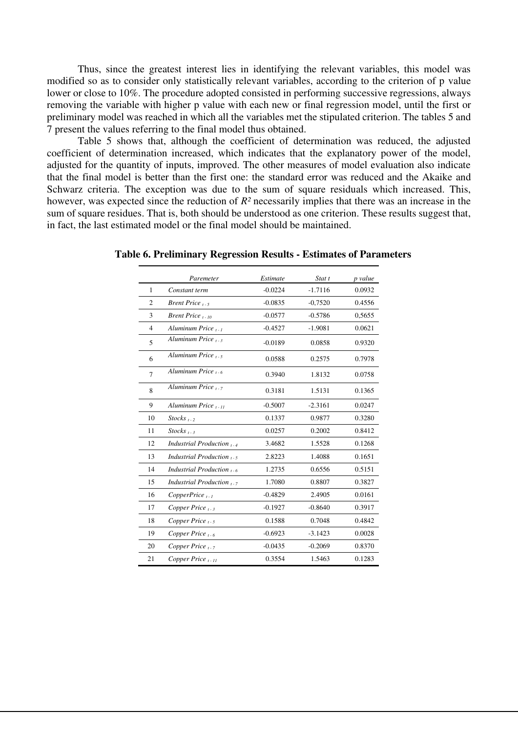Thus, since the greatest interest lies in identifying the relevant variables, this model was modified so as to consider only statistically relevant variables, according to the criterion of p value lower or close to 10%. The procedure adopted consisted in performing successive regressions, always removing the variable with higher p value with each new or final regression model, until the first or preliminary model was reached in which all the variables met the stipulated criterion. The tables 5 and 7 present the values referring to the final model thus obtained.

Table 5 shows that, although the coefficient of determination was reduced, the adjusted coefficient of determination increased, which indicates that the explanatory power of the model, adjusted for the quantity of inputs, improved. The other measures of model evaluation also indicate that the final model is better than the first one: the standard error was reduced and the Akaike and Schwarz criteria. The exception was due to the sum of square residuals which increased. This, however, was expected since the reduction of *R²* necessarily implies that there was an increase in the sum of square residues. That is, both should be understood as one criterion. These results suggest that, in fact, the last estimated model or the final model should be maintained.

|                | Paremeter                       | Estimate  | Stat t    | p value |
|----------------|---------------------------------|-----------|-----------|---------|
| 1              | Constant term                   | $-0.0224$ | $-1.7116$ | 0.0932  |
| $\mathfrak{2}$ | <i>Brent Price</i> $_{t-5}$     | $-0.0835$ | $-0,7520$ | 0.4556  |
| 3              | Brent Price $_{t-10}$           | $-0.0577$ | $-0.5786$ | 0,5655  |
| 4              | Aluminum Price <sub>1-1</sub>   | $-0.4527$ | $-1.9081$ | 0.0621  |
| 5              | Aluminum Price $_{t-3}$         | $-0.0189$ | 0.0858    | 0.9320  |
| 6              | Aluminum Price $\frac{1}{2}$    | 0.0588    | 0.2575    | 0.7978  |
| 7              | Aluminum Price $_{1.6}$         | 0.3940    | 1.8132    | 0.0758  |
| 8              | Aluminum Price $_{1-7}$         | 0.3181    | 1.5131    | 0.1365  |
| 9              | Aluminum Price <sub>t-11</sub>  | $-0.5007$ | $-2.3161$ | 0.0247  |
| 10             | $Stocks_{t-2}$                  | 0.1337    | 0.9877    | 0.3280  |
| 11             | $Stocks_{t-3}$                  | 0.0257    | 0.2002    | 0.8412  |
| 12             | Industrial Production $_{1-4}$  | 3.4682    | 1.5528    | 0.1268  |
| 13             | Industrial Production $_{1.5}$  | 2.8223    | 1.4088    | 0.1651  |
| 14             | Industrial Production $_{1.6}$  | 1.2735    | 0.6556    | 0.5151  |
| 15             | Industrial Production $_{1}$ -7 | 1.7080    | 0.8807    | 0.3827  |
| 16             | $CopperPrice_{t-1}$             | $-0.4829$ | 2.4905    | 0.0161  |
| 17             | Copper Price $_{t-3}$           | $-0.1927$ | $-0.8640$ | 0.3917  |
| 18             | Copper Price $_{t-5}$           | 0.1588    | 0.7048    | 0.4842  |
| 19             | Copper Price $_{1-6}$           | $-0.6923$ | $-3.1423$ | 0.0028  |
| 20             | Copper Price $_{t-7}$           | $-0.0435$ | $-0.2069$ | 0.8370  |
| 21             | Copper Price $_{t+1}$           | 0.3554    | 1.5463    | 0.1283  |

 **Table 6. Preliminary Regression Results - Estimates of Parameters**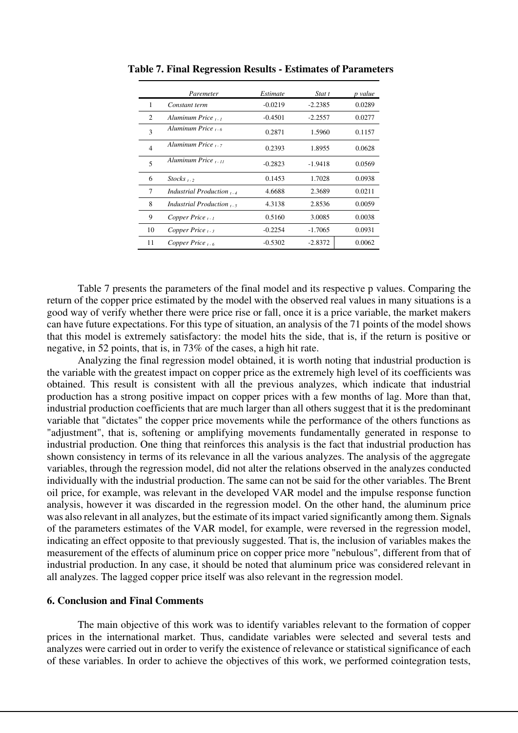|                | Paremeter                      | Estimate  | Stat t    | p value |
|----------------|--------------------------------|-----------|-----------|---------|
| 1              | Constant term                  | $-0.0219$ | $-2.2385$ | 0.0289  |
| 2              | Aluminum Price <sub>t-1</sub>  | $-0.4501$ | $-2.2557$ | 0.0277  |
| 3              | Aluminum Price $_{1.6}$        | 0.2871    | 1.5960    | 0.1157  |
| $\overline{4}$ | Aluminum Price <sub>1-7</sub>  | 0.2393    | 1.8955    | 0.0628  |
| 5              | Aluminum Price $_{t+11}$       | $-0.2823$ | $-1.9418$ | 0.0569  |
| 6              | $Stocks_{t-2}$                 | 0.1453    | 1.7028    | 0.0938  |
| 7              | Industrial Production $_{t-4}$ | 4.6688    | 2.3689    | 0.0211  |
| 8              | <i>Industrial Production</i> , | 4.3138    | 2.8536    | 0.0059  |
| 9              | Copper Price $_{t-1}$          | 0.5160    | 3.0085    | 0.0038  |
| 10             | Copper Price $_{t-3}$          | $-0.2254$ | $-1.7065$ | 0.0931  |
| 11             | Copper Price $_{t=6}$          | $-0.5302$ | $-2.8372$ | 0.0062  |

 **Table 7. Final Regression Results - Estimates of Parameters** 

Table 7 presents the parameters of the final model and its respective p values. Comparing the return of the copper price estimated by the model with the observed real values in many situations is a good way of verify whether there were price rise or fall, once it is a price variable, the market makers can have future expectations. For this type of situation, an analysis of the 71 points of the model shows that this model is extremely satisfactory: the model hits the side, that is, if the return is positive or negative, in 52 points, that is, in 73% of the cases, a high hit rate.

Analyzing the final regression model obtained, it is worth noting that industrial production is the variable with the greatest impact on copper price as the extremely high level of its coefficients was obtained. This result is consistent with all the previous analyzes, which indicate that industrial production has a strong positive impact on copper prices with a few months of lag. More than that, industrial production coefficients that are much larger than all others suggest that it is the predominant variable that "dictates" the copper price movements while the performance of the others functions as "adjustment", that is, softening or amplifying movements fundamentally generated in response to industrial production. One thing that reinforces this analysis is the fact that industrial production has shown consistency in terms of its relevance in all the various analyzes. The analysis of the aggregate variables, through the regression model, did not alter the relations observed in the analyzes conducted individually with the industrial production. The same can not be said for the other variables. The Brent oil price, for example, was relevant in the developed VAR model and the impulse response function analysis, however it was discarded in the regression model. On the other hand, the aluminum price was also relevant in all analyzes, but the estimate of its impact varied significantly among them. Signals of the parameters estimates of the VAR model, for example, were reversed in the regression model, indicating an effect opposite to that previously suggested. That is, the inclusion of variables makes the measurement of the effects of aluminum price on copper price more "nebulous", different from that of industrial production. In any case, it should be noted that aluminum price was considered relevant in all analyzes. The lagged copper price itself was also relevant in the regression model.

## **6. Conclusion and Final Comments**

The main objective of this work was to identify variables relevant to the formation of copper prices in the international market. Thus, candidate variables were selected and several tests and analyzes were carried out in order to verify the existence of relevance or statistical significance of each of these variables. In order to achieve the objectives of this work, we performed cointegration tests,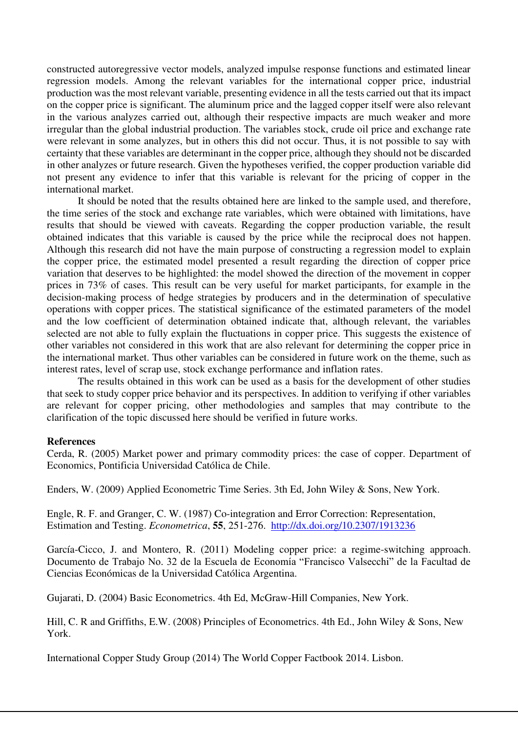constructed autoregressive vector models, analyzed impulse response functions and estimated linear regression models. Among the relevant variables for the international copper price, industrial production was the most relevant variable, presenting evidence in all the tests carried out that its impact on the copper price is significant. The aluminum price and the lagged copper itself were also relevant in the various analyzes carried out, although their respective impacts are much weaker and more irregular than the global industrial production. The variables stock, crude oil price and exchange rate were relevant in some analyzes, but in others this did not occur. Thus, it is not possible to say with certainty that these variables are determinant in the copper price, although they should not be discarded in other analyzes or future research. Given the hypotheses verified, the copper production variable did not present any evidence to infer that this variable is relevant for the pricing of copper in the international market.

It should be noted that the results obtained here are linked to the sample used, and therefore, the time series of the stock and exchange rate variables, which were obtained with limitations, have results that should be viewed with caveats. Regarding the copper production variable, the result obtained indicates that this variable is caused by the price while the reciprocal does not happen. Although this research did not have the main purpose of constructing a regression model to explain the copper price, the estimated model presented a result regarding the direction of copper price variation that deserves to be highlighted: the model showed the direction of the movement in copper prices in 73% of cases. This result can be very useful for market participants, for example in the decision-making process of hedge strategies by producers and in the determination of speculative operations with copper prices. The statistical significance of the estimated parameters of the model and the low coefficient of determination obtained indicate that, although relevant, the variables selected are not able to fully explain the fluctuations in copper price. This suggests the existence of other variables not considered in this work that are also relevant for determining the copper price in the international market. Thus other variables can be considered in future work on the theme, such as interest rates, level of scrap use, stock exchange performance and inflation rates.

The results obtained in this work can be used as a basis for the development of other studies that seek to study copper price behavior and its perspectives. In addition to verifying if other variables are relevant for copper pricing, other methodologies and samples that may contribute to the clarification of the topic discussed here should be verified in future works.

## **References**

 Cerda, R. (2005) Market power and primary commodity prices: the case of copper. Department of Economics, Pontificia Universidad Católica de Chile.

Enders, W. (2009) Applied Econometric Time Series. 3th Ed, John Wiley & Sons, New York.

 Engle, R. F. and Granger, C. W. (1987) Co-integration and Error Correction: Representation, Estimation and Testing. *Econometrica*, **55**, 251-276. <http://dx.doi.org/10.2307/1913236>

 García-Cicco, J. and Montero, R. (2011) Modeling copper price: a regime-switching approach. Documento de Trabajo No. 32 de la Escuela de Economía "Francisco Valsecchi" de la Facultad de Ciencias Económicas de la Universidad Católica Argentina.

Gujarati, D. (2004) Basic Econometrics. 4th Ed, McGraw-Hill Companies, New York.

 Hill, C. R and Griffiths, E.W. (2008) Principles of Econometrics. 4th Ed., John Wiley & Sons, New York.

International Copper Study Group (2014) The World Copper Factbook 2014. Lisbon.